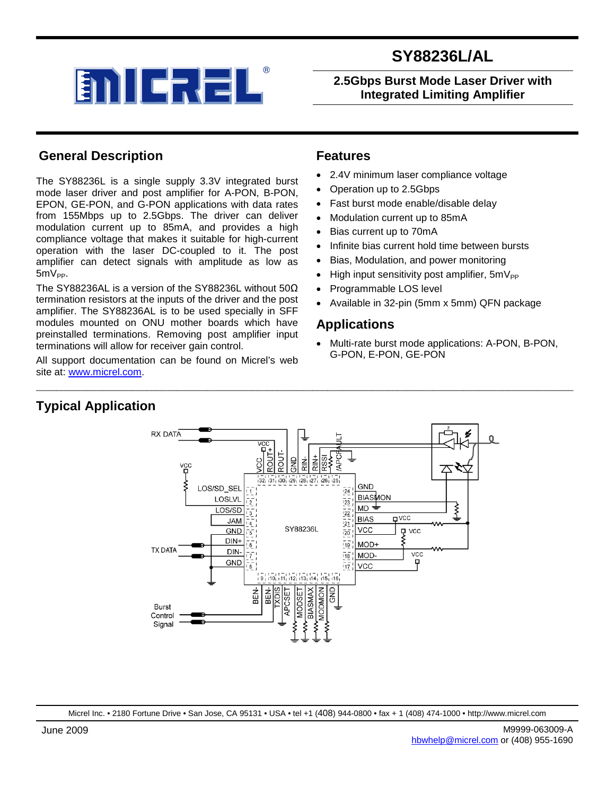

## **2.5Gbps Burst Mode Laser Driver with Integrated Limiting Amplifier**

## **General Description**

The SY88236L is a single supply 3.3V integrated burst mode laser driver and post amplifier for A-PON, B-PON, EPON, GE-PON, and G-PON applications with data rates from 155Mbps up to 2.5Gbps. The driver can deliver modulation current up to 85mA, and provides a high compliance voltage that makes it suitable for high-current operation with the laser DC-coupled to it. The post amplifier can detect signals with amplitude as low as  $5mV_{PP}$ .

The SY88236AL is a version of the SY88236L without 50Ω termination resistors at the inputs of the driver and the post amplifier. The SY88236AL is to be used specially in SFF modules mounted on ONU mother boards which have preinstalled terminations. Removing post amplifier input terminations will allow for receiver gain control.

All support documentation can be found on Micrel's web site at: [www.micrel.com.](http://www.micrel.com/)

## **Features**

- 2.4V minimum laser compliance voltage
- Operation up to 2.5Gbps
- Fast burst mode enable/disable delay
- Modulation current up to 85mA
- Bias current up to 70mA
- Infinite bias current hold time between bursts
- Bias, Modulation, and power monitoring
- High input sensitivity post amplifier,  $5mV_{PP}$
- Programmable LOS level
- Available in 32-pin (5mm x 5mm) QFN package

## **Applications**

• Multi-rate burst mode applications: A-PON, B-PON, G-PON, E-PON, GE-PON

# **RX DATA**

**Typical Application**



\_\_\_\_\_\_\_\_\_\_\_\_\_\_\_\_\_\_\_\_\_\_\_\_\_\_\_\_\_\_\_\_\_\_\_\_\_\_\_\_\_\_\_\_\_\_\_\_\_\_\_\_\_\_\_\_\_\_\_\_\_\_\_\_\_\_\_\_\_\_\_\_\_\_\_\_\_\_\_\_\_\_\_\_\_\_\_\_\_\_\_\_\_\_\_\_\_\_\_\_\_\_\_\_\_\_\_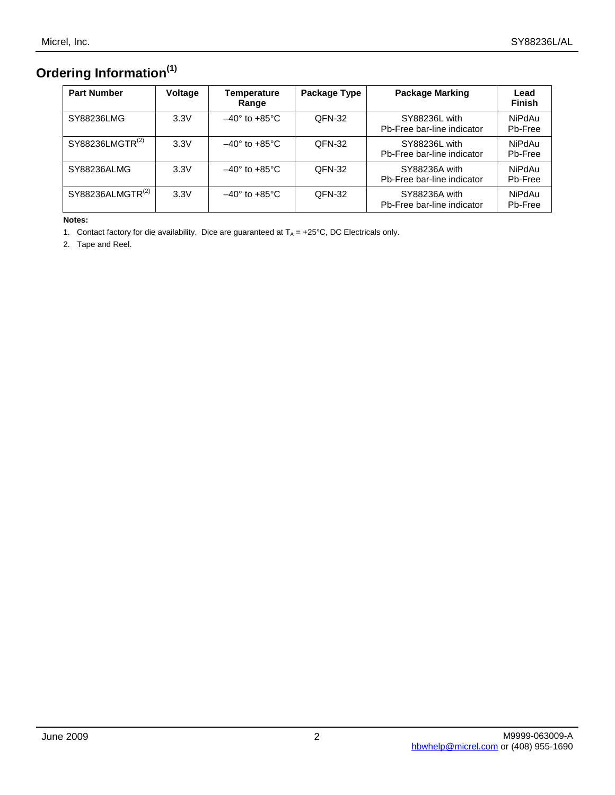# **Ordering Information(1)**

| <b>Part Number</b>           | Voltage | <b>Temperature</b><br>Range     | Package Type | <b>Package Marking</b>                      | Lead<br><b>Finish</b> |
|------------------------------|---------|---------------------------------|--------------|---------------------------------------------|-----------------------|
| SY88236LMG                   | 3.3V    | $-40^\circ$ to $+85^\circ$ C    | QFN-32       | SY88236L with<br>Pb-Free bar-line indicator | NiPdAu<br>Pb-Free     |
| SY88236LMGTR <sup>(2)</sup>  | 3.3V    | $-40^\circ$ to +85 $^\circ$ C   | QFN-32       | SY88236L with<br>Pb-Free bar-line indicator | NiPdAu<br>Pb-Free     |
| SY88236ALMG                  | 3.3V    | $-40^\circ$ to +85 $^{\circ}$ C | QFN-32       | SY88236A with<br>Pb-Free bar-line indicator | NiPdAu<br>Pb-Free     |
| SY88236ALMGTR <sup>(2)</sup> | 3.3V    | $-40^\circ$ to $+85^\circ$ C    | QFN-32       | SY88236A with<br>Pb-Free bar-line indicator | NiPdAu<br>Pb-Free     |

**Notes:**

1. Contact factory for die availability. Dice are guaranteed at  $T_A = +25^{\circ}C$ , DC Electricals only.

2. Tape and Reel.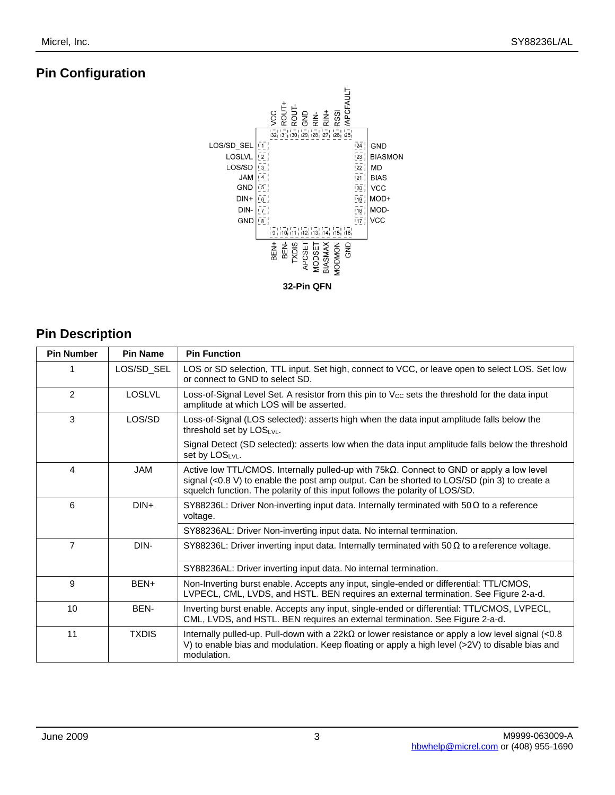## **Pin Configuration**



# **Pin Description**

| <b>Pin Number</b> | <b>Pin Name</b> | <b>Pin Function</b>                                                                                                                                                                                                                                                                |
|-------------------|-----------------|------------------------------------------------------------------------------------------------------------------------------------------------------------------------------------------------------------------------------------------------------------------------------------|
| 1                 | LOS/SD SEL      | LOS or SD selection, TTL input. Set high, connect to VCC, or leave open to select LOS. Set low<br>or connect to GND to select SD.                                                                                                                                                  |
| $\mathfrak{p}$    | <b>LOSLVL</b>   | Loss-of-Signal Level Set. A resistor from this pin to $V_{CC}$ sets the threshold for the data input<br>amplitude at which LOS will be asserted.                                                                                                                                   |
| 3                 | LOS/SD          | Loss-of-Signal (LOS selected): asserts high when the data input amplitude falls below the<br>threshold set by $LOS_{LVL}$ .                                                                                                                                                        |
|                   |                 | Signal Detect (SD selected): asserts low when the data input amplitude falls below the threshold<br>set by LOSLVL.                                                                                                                                                                 |
| 4                 | <b>JAM</b>      | Active low TTL/CMOS. Internally pulled-up with $75k\Omega$ . Connect to GND or apply a low level<br>signal $(<0.8 V$ ) to enable the post amp output. Can be shorted to LOS/SD (pin 3) to create a<br>squelch function. The polarity of this input follows the polarity of LOS/SD. |
| 6                 | $DIN+$          | SY88236L: Driver Non-inverting input data. Internally terminated with $50\Omega$ to a reference<br>voltage.                                                                                                                                                                        |
|                   |                 | SY88236AL: Driver Non-inverting input data. No internal termination.                                                                                                                                                                                                               |
| 7                 | DIN-            | SY88236L: Driver inverting input data. Internally terminated with $50\Omega$ to a reference voltage.                                                                                                                                                                               |
|                   |                 | SY88236AL: Driver inverting input data. No internal termination.                                                                                                                                                                                                                   |
| 9                 | BEN+            | Non-Inverting burst enable. Accepts any input, single-ended or differential: TTL/CMOS,<br>LVPECL, CML, LVDS, and HSTL. BEN requires an external termination. See Figure 2-a-d.                                                                                                     |
| 10                | BEN-            | Inverting burst enable. Accepts any input, single-ended or differential: TTL/CMOS, LVPECL,<br>CML, LVDS, and HSTL. BEN requires an external termination. See Figure 2-a-d.                                                                                                         |
| 11                | <b>TXDIS</b>    | Internally pulled-up. Pull-down with a 22k $\Omega$ or lower resistance or apply a low level signal (<0.8<br>V) to enable bias and modulation. Keep floating or apply a high level (>2V) to disable bias and<br>modulation.                                                        |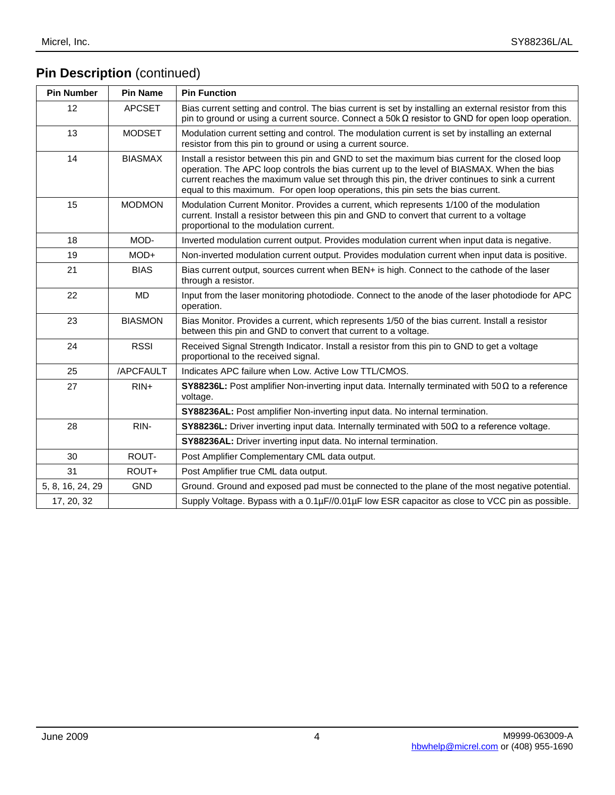# **Pin Description** (continued)

| <b>Pin Number</b> | <b>Pin Name</b> | <b>Pin Function</b>                                                                                                                                                                                                                                                                                                                                                                  |
|-------------------|-----------------|--------------------------------------------------------------------------------------------------------------------------------------------------------------------------------------------------------------------------------------------------------------------------------------------------------------------------------------------------------------------------------------|
| 12                | <b>APCSET</b>   | Bias current setting and control. The bias current is set by installing an external resistor from this<br>pin to ground or using a current source. Connect a $50k\Omega$ resistor to GND for open loop operation.                                                                                                                                                                    |
| 13                | <b>MODSET</b>   | Modulation current setting and control. The modulation current is set by installing an external<br>resistor from this pin to ground or using a current source.                                                                                                                                                                                                                       |
| 14                | <b>BIASMAX</b>  | Install a resistor between this pin and GND to set the maximum bias current for the closed loop<br>operation. The APC loop controls the bias current up to the level of BIASMAX. When the bias<br>current reaches the maximum value set through this pin, the driver continues to sink a current<br>equal to this maximum. For open loop operations, this pin sets the bias current. |
| 15                | <b>MODMON</b>   | Modulation Current Monitor. Provides a current, which represents 1/100 of the modulation<br>current. Install a resistor between this pin and GND to convert that current to a voltage<br>proportional to the modulation current.                                                                                                                                                     |
| 18                | MOD-            | Inverted modulation current output. Provides modulation current when input data is negative.                                                                                                                                                                                                                                                                                         |
| 19                | $MOD+$          | Non-inverted modulation current output. Provides modulation current when input data is positive.                                                                                                                                                                                                                                                                                     |
| 21                | <b>BIAS</b>     | Bias current output, sources current when BEN+ is high. Connect to the cathode of the laser<br>through a resistor.                                                                                                                                                                                                                                                                   |
| 22                | <b>MD</b>       | Input from the laser monitoring photodiode. Connect to the anode of the laser photodiode for APC<br>operation.                                                                                                                                                                                                                                                                       |
| 23                | <b>BIASMON</b>  | Bias Monitor. Provides a current, which represents 1/50 of the bias current. Install a resistor<br>between this pin and GND to convert that current to a voltage.                                                                                                                                                                                                                    |
| 24                | <b>RSSI</b>     | Received Signal Strength Indicator. Install a resistor from this pin to GND to get a voltage<br>proportional to the received signal.                                                                                                                                                                                                                                                 |
| 25                | /APCFAULT       | Indicates APC failure when Low. Active Low TTL/CMOS.                                                                                                                                                                                                                                                                                                                                 |
| 27                | $RIN+$          | SY88236L: Post amplifier Non-inverting input data. Internally terminated with $50\Omega$ to a reference<br>voltage.                                                                                                                                                                                                                                                                  |
|                   |                 | SY88236AL: Post amplifier Non-inverting input data. No internal termination.                                                                                                                                                                                                                                                                                                         |
| 28                | RIN-            | <b>SY88236L:</b> Driver inverting input data. Internally terminated with $50\Omega$ to a reference voltage.                                                                                                                                                                                                                                                                          |
|                   |                 | SY88236AL: Driver inverting input data. No internal termination.                                                                                                                                                                                                                                                                                                                     |
| 30                | ROUT-           | Post Amplifier Complementary CML data output.                                                                                                                                                                                                                                                                                                                                        |
| 31                | ROUT+           | Post Amplifier true CML data output.                                                                                                                                                                                                                                                                                                                                                 |
| 5, 8, 16, 24, 29  | <b>GND</b>      | Ground. Ground and exposed pad must be connected to the plane of the most negative potential.                                                                                                                                                                                                                                                                                        |
| 17, 20, 32        |                 | Supply Voltage. Bypass with a 0.1µF//0.01µF low ESR capacitor as close to VCC pin as possible.                                                                                                                                                                                                                                                                                       |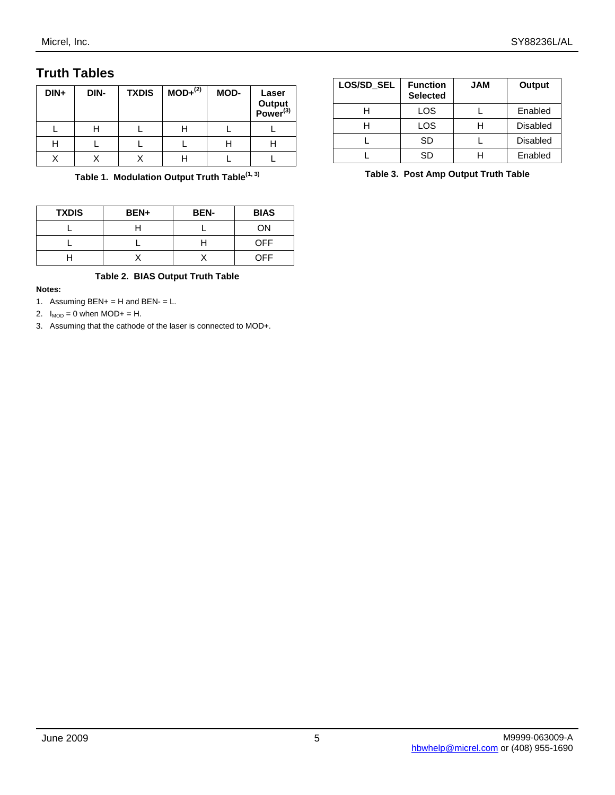## **Truth Tables**

| DIN+ | DIN- | <b>TXDIS</b> | $MOD+^{(2)}$ | MOD- | Laser<br>Output<br>Power <sup>(3)</sup> |
|------|------|--------------|--------------|------|-----------------------------------------|
|      |      |              |              |      |                                         |
| н    |      |              |              |      |                                         |
|      |      |              |              |      |                                         |

**Table 1. Modulation Output Truth Table(1, 3)**

| <b>TXDIS</b> | BEN+ | <b>BEN-</b> | <b>BIAS</b> |
|--------------|------|-------------|-------------|
|              |      |             | ON          |
|              |      |             | OFF         |
|              |      |             | OFF         |

#### **Table 2. BIAS Output Truth Table**

#### **Notes:**

- 1. Assuming  $BEN+ = H$  and  $BEN- = L$ .
- 2.  $I_{MOD} = 0$  when  $MOD + = H$ .
- 3. Assuming that the cathode of the laser is connected to MOD+.

| LOS/SD_SEL | <b>Function</b><br><b>Selected</b> | <b>JAM</b> | Output          |
|------------|------------------------------------|------------|-----------------|
|            | LOS                                |            | Enabled         |
|            | LOS                                | Н          | <b>Disabled</b> |
|            | SD                                 |            | <b>Disabled</b> |
|            | SD                                 |            | Enabled         |

**Table 3. Post Amp Output Truth Table**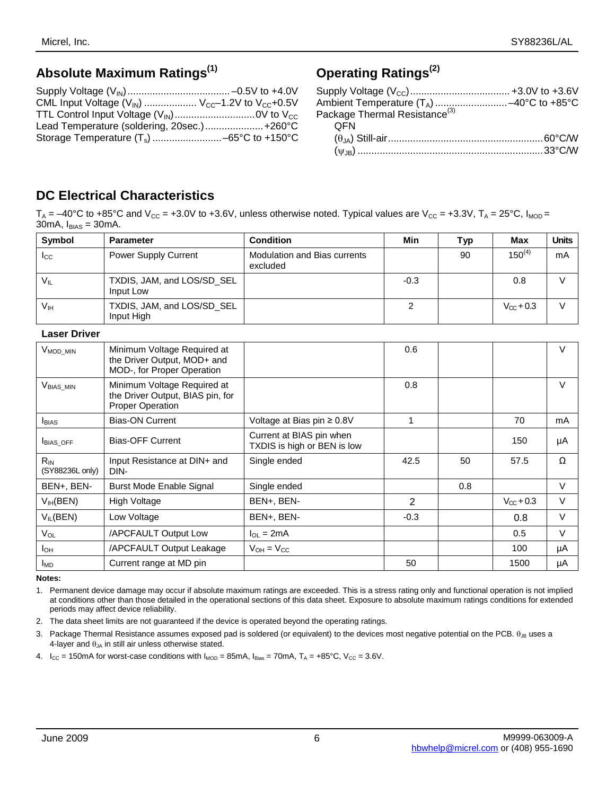## **Absolute Maximum Ratings(1)**

| CML Input Voltage $(V_{\text{IN}})$ $V_{\text{CC}}$ -1.2V to $V_{\text{CC}}$ +0.5V |  |
|------------------------------------------------------------------------------------|--|
|                                                                                    |  |
| Lead Temperature (soldering, 20sec.) +260°C                                        |  |
|                                                                                    |  |

# **Operating Ratings(2)**

| Ambient Temperature (T <sub>A</sub> ) -40°C to +85°C<br>Package Thermal Resistance <sup>(3)</sup> |  |
|---------------------------------------------------------------------------------------------------|--|
|                                                                                                   |  |
| <b>OFN</b>                                                                                        |  |
|                                                                                                   |  |
|                                                                                                   |  |

## **DC Electrical Characteristics**

 $T_A = -40^{\circ}$ C to +85°C and V<sub>CC</sub> = +3.0V to +3.6V, unless otherwise noted. Typical values are V<sub>CC</sub> = +3.3V, T<sub>A</sub> = 25°C, I<sub>MOD</sub> = 30mA,  $I_{BIAS} = 30$ mA.

| Symbol              | <b>Parameter</b>                         | <b>Condition</b>                         | Min    | Typ | Max                | <b>Units</b> |
|---------------------|------------------------------------------|------------------------------------------|--------|-----|--------------------|--------------|
| $I_{\rm CC}$        | <b>Power Supply Current</b>              | Modulation and Bias currents<br>excluded |        | 90  | $150^{(4)}$        | mA           |
| $V_{IL}$            | TXDIS, JAM, and LOS/SD_SEL<br>Input Low  |                                          | $-0.3$ |     | 0.8                |              |
| V <sub>IH</sub>     | TXDIS, JAM, and LOS/SD_SEL<br>Input High |                                          | 2      |     | $V_{\Omega}$ + 0.3 | V            |
| <b>Laser Driver</b> |                                          |                                          |        |     |                    |              |
|                     |                                          |                                          |        |     |                    |              |

| V <sub>MOD</sub> MIN        | Minimum Voltage Required at<br>the Driver Output, MOD+ and<br>MOD-, for Proper Operation   |                                                         | 0.6            |     |                       | V      |
|-----------------------------|--------------------------------------------------------------------------------------------|---------------------------------------------------------|----------------|-----|-----------------------|--------|
| $V_{BIAS\_MIN}$             | Minimum Voltage Required at<br>the Driver Output, BIAS pin, for<br><b>Proper Operation</b> |                                                         | 0.8            |     |                       | $\vee$ |
| <b>I</b> BIAS               | <b>Bias-ON Current</b>                                                                     | Voltage at Bias pin ≥ 0.8V                              | 1              |     | 70                    | mA     |
| BIAS_OFF                    | <b>Bias-OFF Current</b>                                                                    | Current at BIAS pin when<br>TXDIS is high or BEN is low |                |     | 150                   | μA     |
| $R_{IN}$<br>(SY88236L only) | Input Resistance at DIN+ and<br>DIN-                                                       | Single ended                                            | 42.5           | 50  | 57.5                  | Ω      |
| BEN+, BEN-                  | <b>Burst Mode Enable Signal</b>                                                            | Single ended                                            |                | 0.8 |                       | V      |
| V <sub>IH</sub> (BEN)       | High Voltage                                                                               | BEN+, BEN-                                              | $\overline{2}$ |     | $V_{\text{CC}} + 0.3$ | V      |
| $V_{IL}$ (BEN)              | Low Voltage                                                                                | BEN+, BEN-                                              | $-0.3$         |     | 0.8                   | V      |
| $V_{OL}$                    | /APCFAULT Output Low                                                                       | $I_{\Omega I} = 2mA$                                    |                |     | 0.5                   | V      |
| $I_{OH}$                    | /APCFAULT Output Leakage                                                                   | $V_{OH} = V_{CC}$                                       |                |     | 100                   | μA     |
| <b>I<sub>MD</sub></b>       | Current range at MD pin                                                                    |                                                         | 50             |     | 1500                  | μA     |

#### **Notes:**

1. Permanent device damage may occur if absolute maximum ratings are exceeded. This is a stress rating only and functional operation is not implied at conditions other than those detailed in the operational sections of this data sheet. Exposure to absolute maximum ratings conditions for extended periods may affect device reliability.

2. The data sheet limits are not guaranteed if the device is operated beyond the operating ratings.

3. Package Thermal Resistance assumes exposed pad is soldered (or equivalent) to the devices most negative potential on the PCB.  $θ_{JB}$  uses a 4-layer and  $\theta_{JA}$  in still air unless otherwise stated.

4.  $I_{CC}$  = 150mA for worst-case conditions with  $I_{MOD}$  = 85mA,  $I_{Bias}$  = 70mA,  $T_A$  = +85°C,  $V_{CC}$  = 3.6V.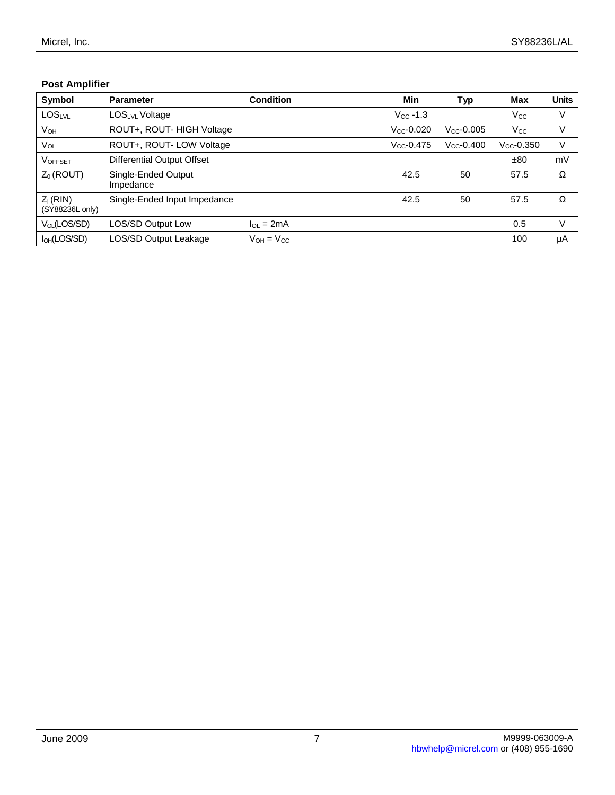## **Post Amplifier**

| Symbol                        | <b>Parameter</b>                 | <b>Condition</b>  | Min             | <b>Typ</b>      | Max             | <b>Units</b> |
|-------------------------------|----------------------------------|-------------------|-----------------|-----------------|-----------------|--------------|
| LOSLVL                        | LOSLVL Voltage                   |                   | $V_{CC}$ -1.3   |                 | $V_{\rm CC}$    | V            |
| V <sub>он</sub>               | ROUT+, ROUT- HIGH Voltage        |                   | $V_{CC}$ -0.020 | $V_{CC}$ -0.005 | $\rm V_{CC}$    | V            |
| $V_{OL}$                      | ROUT+, ROUT- LOW Voltage         |                   | $V_{CC}$ -0.475 | $V_{CC}$ -0.400 | $V_{CC}$ -0.350 | V            |
| <b>VOFFSET</b>                | Differential Output Offset       |                   |                 |                 | ±80             | mV           |
| $Z_0$ (ROUT)                  | Single-Ended Output<br>Impedance |                   | 42.5            | 50              | 57.5            | Ω            |
| $Z1$ (RIN)<br>(SY88236L only) | Single-Ended Input Impedance     |                   | 42.5            | 50              | 57.5            | Ω            |
| $V_{OL}(LOS/SD)$              | <b>LOS/SD Output Low</b>         | $\ln = 2mA$       |                 |                 | 0.5             | V            |
| $I_{OH}$ (LOS/SD)             | <b>LOS/SD Output Leakage</b>     | $V_{OH} = V_{CC}$ |                 |                 | 100             | μA           |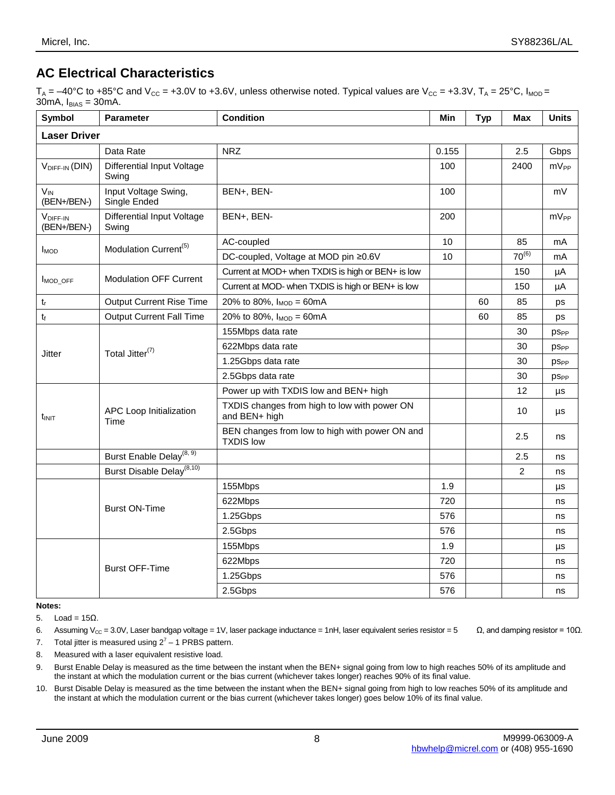## **AC Electrical Characteristics**

 $T_A = -40^{\circ}$ C to +85°C and V<sub>cc</sub> = +3.0V to +3.6V, unless otherwise noted. Typical values are V<sub>cc</sub> = +3.3V, T<sub>A</sub> = 25°C, I<sub>MOD</sub> = 30mA,  $I_{BIAS} = 30$ mA.

| <b>Symbol</b>                       | Parameter                                  | <b>Condition</b>                                                   | Min   | <b>Typ</b> | <b>Max</b>     | <b>Units</b>           |
|-------------------------------------|--------------------------------------------|--------------------------------------------------------------------|-------|------------|----------------|------------------------|
| <b>Laser Driver</b>                 |                                            |                                                                    |       |            |                |                        |
|                                     | Data Rate                                  | <b>NRZ</b>                                                         | 0.155 |            | 2.5            | Gbps                   |
| VDIFF-IN (DIN)                      | <b>Differential Input Voltage</b><br>Swing |                                                                    | 100   |            | 2400           | mV <sub>PP</sub>       |
| $V_{IN}$<br>(BEN+/BEN-)             | Input Voltage Swing,<br>Single Ended       | BEN+, BEN-                                                         | 100   |            |                | mV                     |
| V <sub>DIFF-IN</sub><br>(BEN+/BEN-) | <b>Differential Input Voltage</b><br>Swing | BEN+, BEN-                                                         | 200   |            |                | $mV_{PP}$              |
| <b>I</b> <sub>MOD</sub>             | Modulation Current <sup>(5)</sup>          | AC-coupled                                                         | 10    |            | 85             | mA                     |
|                                     |                                            | DC-coupled, Voltage at MOD pin ≥0.6V                               | 10    |            | $70^{(6)}$     | mA                     |
|                                     | <b>Modulation OFF Current</b>              | Current at MOD+ when TXDIS is high or BEN+ is low                  |       |            | 150            | μA                     |
| MOD OFF                             |                                            | Current at MOD- when TXDIS is high or BEN+ is low                  |       |            | 150            | μA                     |
| $t_{r}$                             | <b>Output Current Rise Time</b>            | 20% to 80%, $I_{MOD} = 60mA$                                       |       | 60         | 85             | ps                     |
| $t_{\rm f}$                         | <b>Output Current Fall Time</b>            | 20% to 80%, $I_{MOD} = 60mA$                                       |       | 60         | 85             | ps                     |
| <b>Jitter</b>                       | Total Jitter <sup>(7)</sup>                | 155Mbps data rate                                                  |       |            | 30             | <b>PS<sub>PP</sub></b> |
|                                     |                                            | 622Mbps data rate                                                  |       |            | 30             | <b>PS<sub>PP</sub></b> |
|                                     |                                            | 1.25Gbps data rate                                                 |       |            | 30             | <b>PS<sub>PP</sub></b> |
|                                     |                                            | 2.5Gbps data rate                                                  |       |            | 30             | <b>PSPP</b>            |
|                                     |                                            | Power up with TXDIS low and BEN+ high                              |       |            | 12             | μs                     |
| tinit                               | APC Loop Initialization<br>Time            | TXDIS changes from high to low with power ON<br>and BEN+ high      |       |            | 10             | μs                     |
|                                     |                                            | BEN changes from low to high with power ON and<br><b>TXDIS low</b> |       |            | 2.5            | ns                     |
|                                     | Burst Enable Delay <sup>(8, 9)</sup>       |                                                                    |       |            | 2.5            | ns                     |
|                                     | Burst Disable Delay <sup>(8,10)</sup>      |                                                                    |       |            | $\overline{2}$ | ns                     |
|                                     |                                            | 155Mbps                                                            | 1.9   |            |                | μs                     |
|                                     |                                            | 622Mbps                                                            | 720   |            |                | ns                     |
|                                     | <b>Burst ON-Time</b>                       | 1.25Gbps                                                           | 576   |            |                | ns                     |
|                                     |                                            | 2.5Gbps                                                            | 576   |            |                | ns                     |
|                                     |                                            | 155Mbps                                                            | 1.9   |            |                | μs                     |
|                                     | <b>Burst OFF-Time</b>                      | 622Mbps                                                            | 720   |            |                | ns                     |
|                                     |                                            | 1.25Gbps                                                           | 576   |            |                | ns                     |
|                                     |                                            | 2.5Gbps                                                            | 576   |            |                | ns                     |

**Notes:**

5. Load =  $15Ω$ .

6. Assuming V<sub>CC</sub> = 3.0V, Laser bandgap voltage = 1V, laser package inductance = 1nH, laser equivalent series resistor = 5  $\Omega$ , and damping resistor = 10 $\Omega$ .

7. Total jitter is measured using  $2^7 - 1$  PRBS pattern.

8. Measured with a laser equivalent resistive load.

9. Burst Enable Delay is measured as the time between the instant when the BEN+ signal going from low to high reaches 50% of its amplitude and the instant at which the modulation current or the bias current (whichever takes longer) reaches 90% of its final value.

10. Burst Disable Delay is measured as the time between the instant when the BEN+ signal going from high to low reaches 50% of its amplitude and the instant at which the modulation current or the bias current (whichever takes longer) goes below 10% of its final value.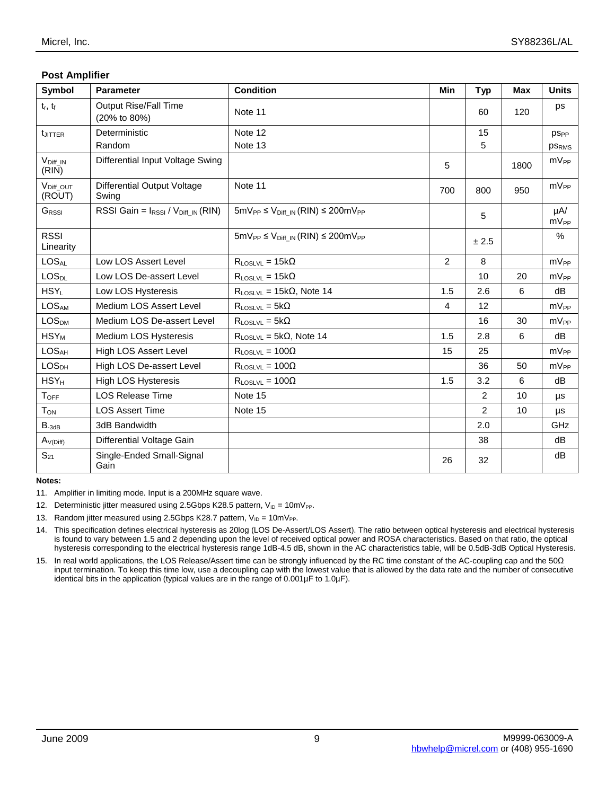## **Post Amplifier**

| Symbol                          | <b>Parameter</b>                               | <b>Condition</b>                                | Min | <b>Typ</b>     | Max  | <b>Units</b>          |
|---------------------------------|------------------------------------------------|-------------------------------------------------|-----|----------------|------|-----------------------|
| $t_r$ , $t_f$                   | <b>Output Rise/Fall Time</b><br>(20% to 80%)   | Note 11                                         |     | 60             | 120  | ps                    |
| <b>LJITTER</b>                  | Deterministic                                  | Note 12                                         |     | 15             |      | <b>PSPP</b>           |
|                                 | Random                                         | Note 13                                         |     | 5              |      | <b>PSRMS</b>          |
| $V_{Diff\_IN}$<br>(RIN)         | Differential Input Voltage Swing               |                                                 | 5   |                | 1800 | $mV_{PP}$             |
| V <sub>Diff</sub> OUT<br>(ROUT) | <b>Differential Output Voltage</b><br>Swing    | Note 11                                         | 700 | 800            | 950  | mV <sub>PP</sub>      |
| GRSSI                           | RSSI Gain = IRSSI / V <sub>Diff_IN</sub> (RIN) | $5mV_{PP} \le V_{Diff IN} (RIN) \le 200mV_{PP}$ |     | 5              |      | $\mu$ A/<br>$mV_{PP}$ |
| <b>RSSI</b><br>Linearity        |                                                | $5mV_{PP} \le V_{Diff IN} (RIN) \le 200mV_{PP}$ |     | ± 2.5          |      | $\%$                  |
| LOS <sub>AL</sub>               | Low LOS Assert Level                           | $R_{\text{LOSLVL}} = 15k\Omega$                 | 2   | 8              |      | $mV_{PP}$             |
| <b>LOS<sub>DL</sub></b>         | Low LOS De-assert Level                        | $R_{\text{LOSLVL}} = 15k\Omega$                 |     | 10             | 20   | mV <sub>PP</sub>      |
| $HSY_L$                         | Low LOS Hysteresis                             | $R_{\text{LOSLVL}} = 15k\Omega$ , Note 14       | 1.5 | 2.6            | 6    | dB                    |
| <b>LOSAM</b>                    | Medium LOS Assert Level                        | $R_{\text{LOSLVL}} = 5k\Omega$                  | 4   | 12             |      | mV <sub>PP</sub>      |
| <b>LOS<sub>DM</sub></b>         | Medium LOS De-assert Level                     | $R_{\text{LOSLVL}} = 5k\Omega$                  |     | 16             | 30   | $mV_{PP}$             |
| $HSY_M$                         | Medium LOS Hysteresis                          | $R_{\text{LOSLVL}} = 5k\Omega$ , Note 14        | 1.5 | 2.8            | 6    | dB                    |
| <b>LOSAH</b>                    | High LOS Assert Level                          | $R_{LOSLVL} = 100\Omega$                        | 15  | 25             |      | mV <sub>PP</sub>      |
| LOS <sub>DH</sub>               | High LOS De-assert Level                       | $R_{\text{LOSUM}} = 100\Omega$                  |     | 36             | 50   | $mV_{PP}$             |
| $HSY_H$                         | <b>High LOS Hysteresis</b>                     | $R_{LOSLVL} = 100\Omega$                        | 1.5 | 3.2            | 6    | dB                    |
| <b>TOFF</b>                     | <b>LOS Release Time</b>                        | Note 15                                         |     | 2              | 10   | μs                    |
| $T_{ON}$                        | <b>LOS Assert Time</b>                         | Note 15                                         |     | $\overline{2}$ | 10   | μs                    |
| $B_{-3dB}$                      | 3dB Bandwidth                                  |                                                 |     | 2.0            |      | GHz                   |
| $A_{V(Diff)}$                   | Differential Voltage Gain                      |                                                 |     | 38             |      | dB                    |
| $S_{21}$                        | Single-Ended Small-Signal<br>Gain              |                                                 | 26  | 32             |      | dB                    |

**Notes:**

11. Amplifier in limiting mode. Input is a 200MHz square wave.

12. Deterministic jitter measured using 2.5Gbps K28.5 pattern,  $V_{ID} = 10mV_{PP}$ .

13. Random jitter measured using 2.5Gbps K28.7 pattern,  $V_{ID} = 10mV_{PP}$ .

14. This specification defines electrical hysteresis as 20log (LOS De-Assert/LOS Assert). The ratio between optical hysteresis and electrical hysteresis is found to vary between 1.5 and 2 depending upon the level of received optical power and ROSA characteristics. Based on that ratio, the optical hysteresis corresponding to the electrical hysteresis range 1dB-4.5 dB, shown in the AC characteristics table, will be 0.5dB-3dB Optical Hysteresis.

15. In real world applications, the LOS Release/Assert time can be strongly influenced by the RC time constant of the AC-coupling cap and the 50Ω input termination. To keep this time low, use a decoupling cap with the lowest value that is allowed by the data rate and the number of consecutive identical bits in the application (typical values are in the range of 0.001µF to 1.0µF).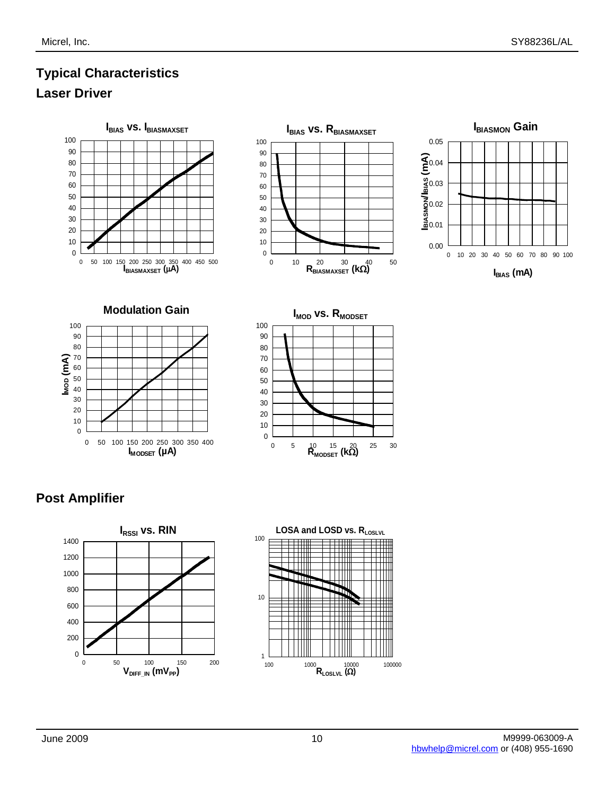# **Typical Characteristics Laser Driver**



## **Post Amplifier**



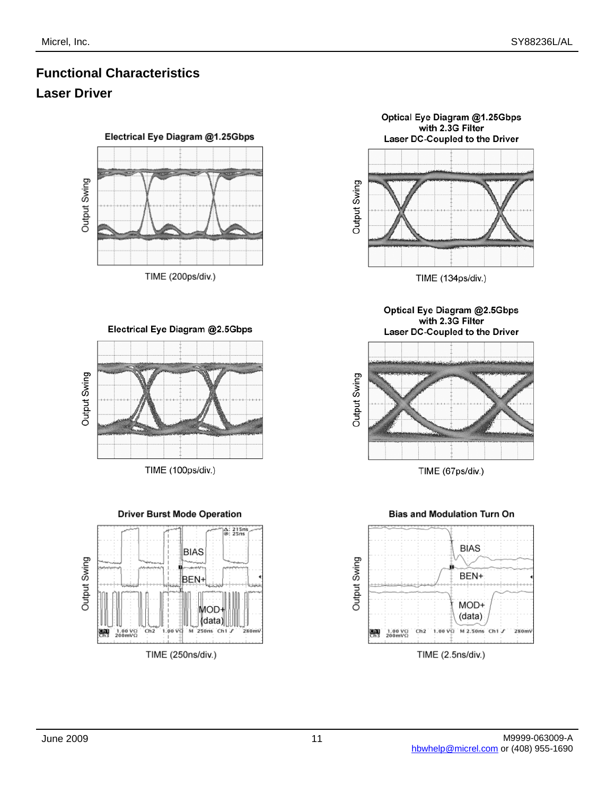# **Functional Characteristics Laser Driver**

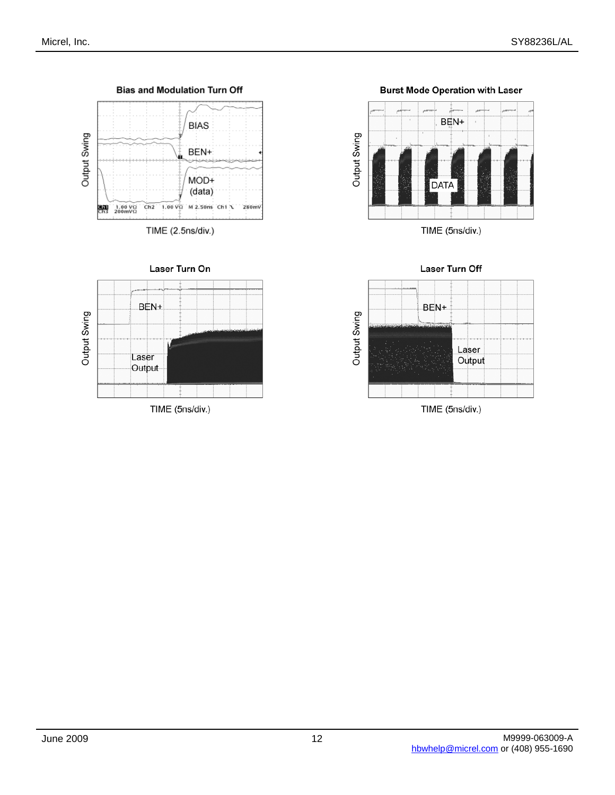



**Burst Mode Operation with Laser** 



Laser Turn Off

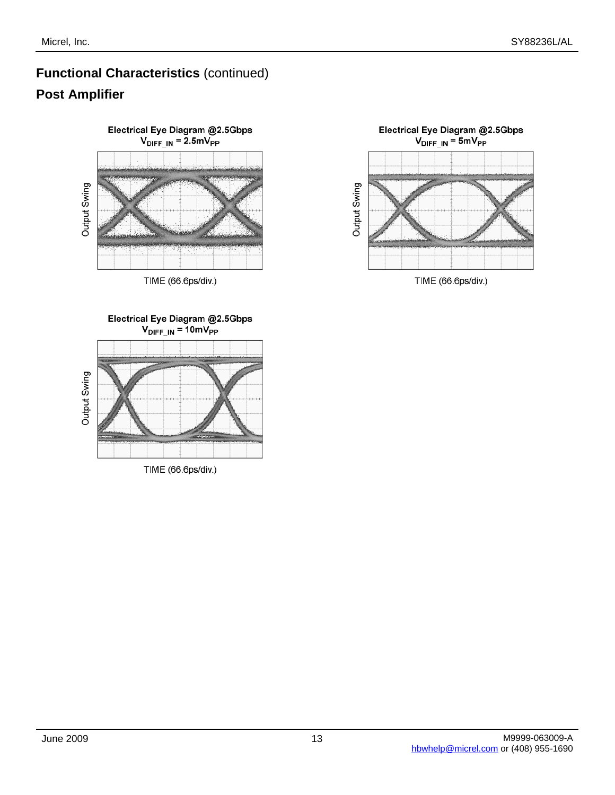# **Functional Characteristics** (continued) **Post Amplifier**



TIME (66.6ps/div.)

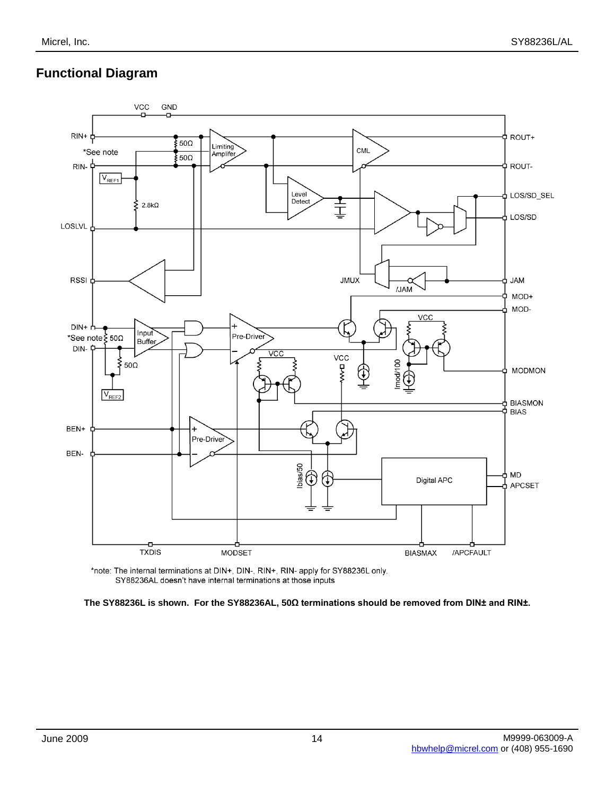## **Functional Diagram**



\*note: The internal terminations at DIN+, DIN-, RIN+, RIN- apply for SY88236L only. SY88236AL doesn't have internal terminations at those inputs

**The SY88236L is shown. For the SY88236AL, 50Ω terminations should be removed from DIN± and RIN±.**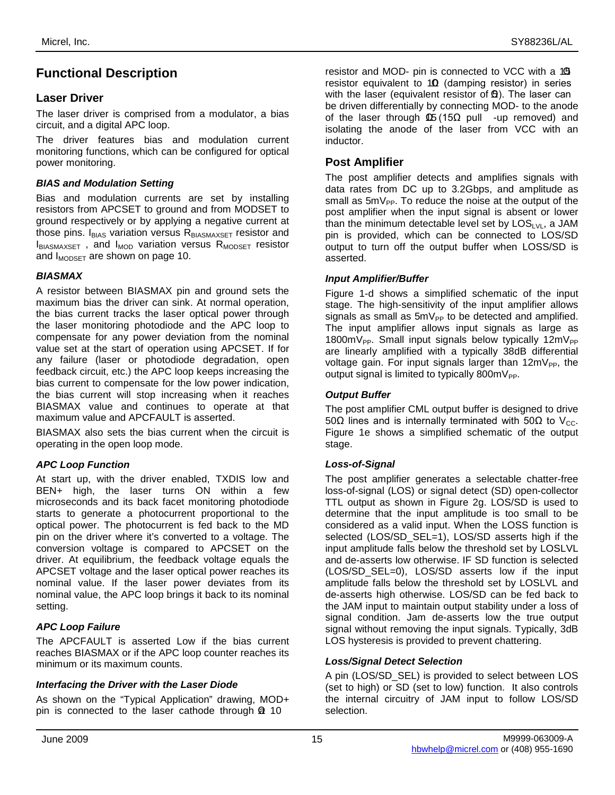## **Functional Description**

## **Laser Driver**

The laser driver is comprised from a modulator, a bias circuit, and a digital APC loop.

The driver features bias and modulation current monitoring functions, which can be configured for optical power monitoring.

## *BIAS and Modulation Setting*

Bias and modulation currents are set by installing resistors from APCSET to ground and from MODSET to ground respectively or by applying a negative current at those pins.  $I_{BIAS}$  variation versus  $R_{BIASMAXSET}$  resistor and  $I_{BIASMAXSET}$ , and  $I_{MOD}$  variation versus  $R_{MODSET}$  resistor and  $I_{MODSET}$  are shown on page 10.

#### *BIASMAX*

A resistor between BIASMAX pin and ground sets the maximum bias the driver can sink. At normal operation, the bias current tracks the laser optical power through the laser monitoring photodiode and the APC loop to compensate for any power deviation from the nominal value set at the start of operation using APCSET. If for any failure (laser or photodiode degradation, open feedback circuit, etc.) the APC loop keeps increasing the bias current to compensate for the low power indication, the bias current will stop increasing when it reaches BIASMAX value and continues to operate at that maximum value and APCFAULT is asserted.

BIASMAX also sets the bias current when the circuit is operating in the open loop mode.

## *APC Loop Function*

At start up, with the driver enabled, TXDIS low and BEN+ high, the laser turns ON within a few microseconds and its back facet monitoring photodiode starts to generate a photocurrent proportional to the optical power. The photocurrent is fed back to the MD pin on the driver where it's converted to a voltage. The conversion voltage is compared to APCSET on the driver. At equilibrium, the feedback voltage equals the APCSET voltage and the laser optical power reaches its nominal value. If the laser power deviates from its nominal value, the APC loop brings it back to its nominal setting.

## *APC Loop Failure*

The APCFAULT is asserted Low if the bias current reaches BIASMAX or if the APC loop counter reaches its minimum or its maximum counts.

## *Interfacing the Driver with the Laser Diode*

As shown on the "Typical Application" drawing, MOD+ pin is connected to the laser cathode through **Q** 10

resistor and MOD- pin is connected to VCC with a 19 resistor equivalent to  $10$  (damping resistor) in series with the laser (equivalent resistor of **Φ**). The laser can be driven differentially by connecting MOD- to the anode of the laser through  $\Phi$  (15 $\Omega$  pull -up removed) and isolating the anode of the laser from VCC with an inductor.

## **Post Amplifier**

The post amplifier detects and amplifies signals with data rates from DC up to 3.2Gbps, and amplitude as small as  $5mV_{PP}$ . To reduce the noise at the output of the post amplifier when the input signal is absent or lower than the minimum detectable level set by  $LOS_{LVL}$ , a JAM pin is provided, which can be connected to LOS/SD output to turn off the output buffer when LOSS/SD is asserted.

## *Input Amplifier/Buffer*

Figure 1-d shows a simplified schematic of the input stage. The high-sensitivity of the input amplifier allows signals as small as  $5mV_{PP}$  to be detected and amplified. The input amplifier allows input signals as large as 1800m $V_{PP}$ . Small input signals below typically 12m $V_{PP}$ are linearly amplified with a typically 38dB differential voltage gain. For input signals larger than  $12mV_{PP}$ , the output signal is limited to typically  $800mV_{PP}$ .

## *Output Buffer*

The post amplifier CML output buffer is designed to drive 50Ω lines and is internally terminated with 50Ω to V<sub>cc</sub>. Figure 1e shows a simplified schematic of the output stage.

## *Loss-of-Signal*

The post amplifier generates a selectable chatter-free loss-of-signal (LOS) or signal detect (SD) open-collector TTL output as shown in Figure 2g. LOS/SD is used to determine that the input amplitude is too small to be considered as a valid input. When the LOSS function is selected (LOS/SD\_SEL=1), LOS/SD asserts high if the input amplitude falls below the threshold set by LOSLVL and de-asserts low otherwise. IF SD function is selected (LOS/SD\_SEL=0), LOS/SD asserts low if the input amplitude falls below the threshold set by LOSLVL and de-asserts high otherwise. LOS/SD can be fed back to the JAM input to maintain output stability under a loss of signal condition. Jam de-asserts low the true output signal without removing the input signals. Typically, 3dB LOS hysteresis is provided to prevent chattering.

## *Loss/Signal Detect Selection*

A pin (LOS/SD\_SEL) is provided to select between LOS (set to high) or SD (set to low) function. It also controls the internal circuitry of JAM input to follow LOS/SD selection.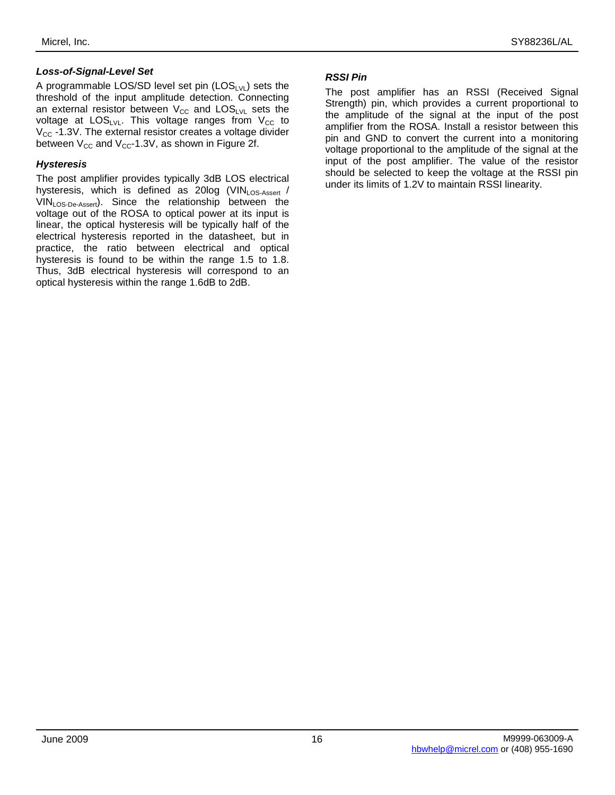A programmable LOS/SD level set pin  $(LOS_{LVL})$  sets the threshold of the input amplitude detection. Connecting an external resistor between  $V_{CC}$  and  $LOS_{LVL}$  sets the voltage at  $LOS_{LVL}$ . This voltage ranges from  $V_{CC}$  to  $V_{CC}$  -1.3V. The external resistor creates a voltage divider between  $V_{CC}$  and  $V_{CC}$ -1.3V, as shown in Figure 2f.

## *Hysteresis*

The post amplifier provides typically 3dB LOS electrical hysteresis, which is defined as 20log  $(VIN)_{DS-Asset}$ VINLOS-De-Assert). Since the relationship between the voltage out of the ROSA to optical power at its input is linear, the optical hysteresis will be typically half of the electrical hysteresis reported in the datasheet, but in practice, the ratio between electrical and optical hysteresis is found to be within the range 1.5 to 1.8. Thus, 3dB electrical hysteresis will correspond to an optical hysteresis within the range 1.6dB to 2dB.

#### *RSSI Pin*

The post amplifier has an RSSI (Received Signal Strength) pin, which provides a current proportional to the amplitude of the signal at the input of the post amplifier from the ROSA. Install a resistor between this pin and GND to convert the current into a monitoring voltage proportional to the amplitude of the signal at the input of the post amplifier. The value of the resistor should be selected to keep the voltage at the RSSI pin under its limits of 1.2V to maintain RSSI linearity.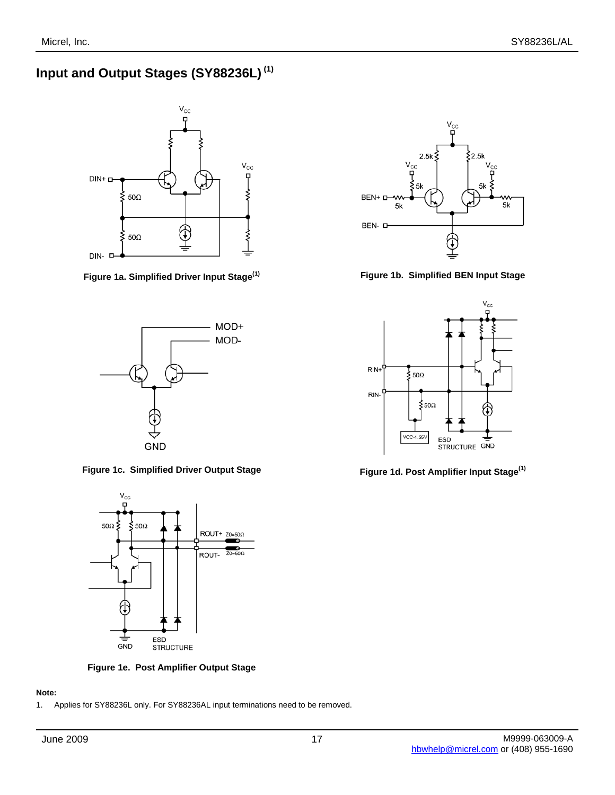# **Input and Output Stages (SY88236L) (1)**





**Figure 1c. Simplified Driver Output Stage Figure 1d. Post Amplifier Input Stage(1)**



**Figure 1e. Post Amplifier Output Stage**

## **Note:**

1. Applies for SY88236L only. For SY88236AL input terminations need to be removed.



**Figure 1a. Simplified Driver Input Stage(1) Figure 1b. Simplified BEN Input Stage**

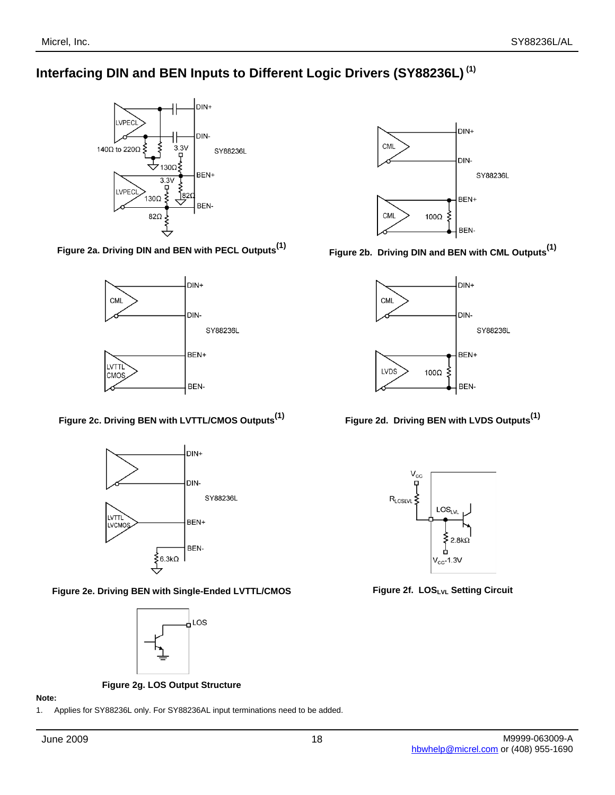## **Interfacing DIN and BEN Inputs to Different Logic Drivers (SY88236L) (1)**





**Figure 2c. Driving BEN with LVTTL/CMOS Outputs(1) Figure 2d. Driving BEN with LVDS Outputs(1)**



**Figure 2e. Driving BEN with Single-Ended LVTTL/CMOS Figure 2f. LOSLVL Setting Circuit**



**Figure 2g. LOS Output Structure**

#### **Note:**

1. Applies for SY88236L only. For SY88236AL input terminations need to be added.



**Figure 2a. Driving DIN and BEN with PECL Outputs(1) Figure 2b. Driving DIN and BEN with CML Outputs(1)**